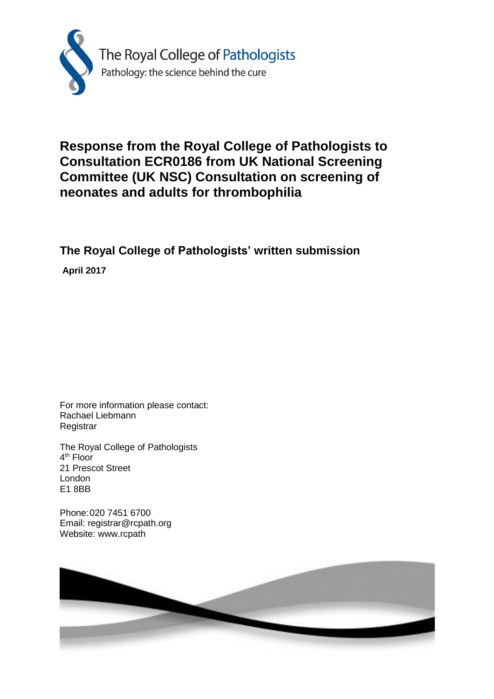

## **Response from the Royal College of Pathologists to Consultation ECR0186 from UK National Screening Committee (UK NSC) Consultation on screening of neonates and adults for thrombophilia**

**The Royal College of Pathologists' written submission**

**April 2017**

For more information please contact: Rachael Liebmann Registrar

The Royal College of Pathologists 4<sup>th</sup> Floor 21 Prescot Street London E1 8BB

Phone:020 7451 6700 Email: registrar@rcpath.org Website: www.rcpath